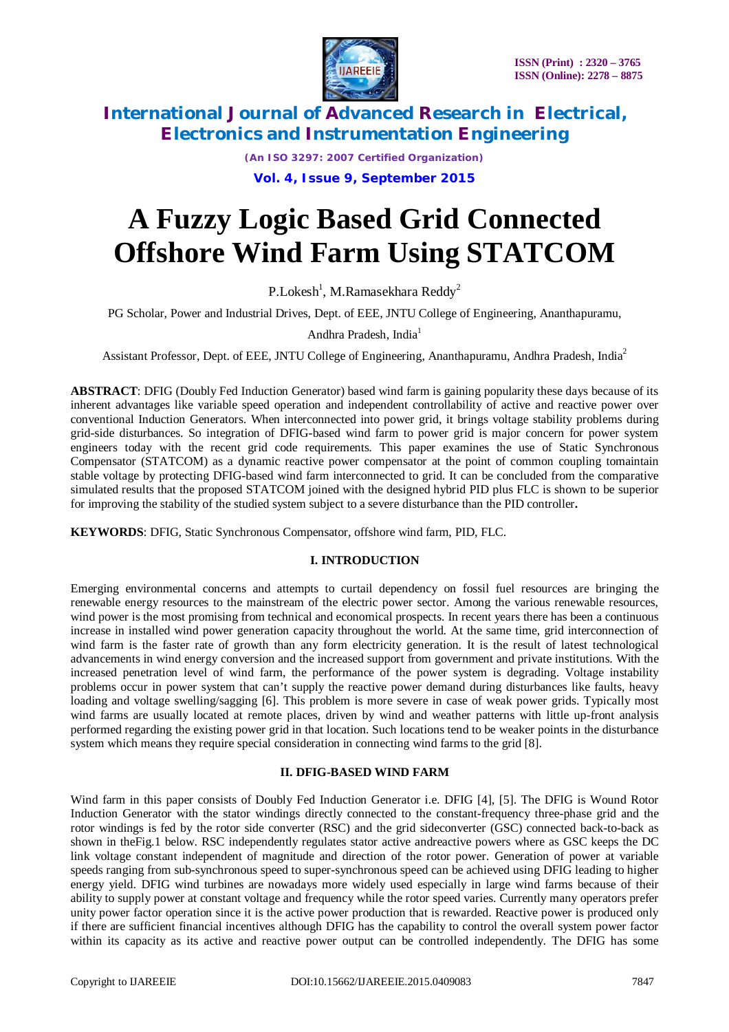

*(An ISO 3297: 2007 Certified Organization)* **Vol. 4, Issue 9, September 2015**

# **A Fuzzy Logic Based Grid Connected Offshore Wind Farm Using STATCOM**

P.Lokesh $^{\rm l}$ , M.Ramasekhara Reddy $^{\rm 2}$ 

PG Scholar, Power and Industrial Drives, Dept. of EEE, JNTU College of Engineering, Ananthapuramu,

Andhra Pradesh, India<sup>1</sup>

Assistant Professor, Dept. of EEE, JNTU College of Engineering, Ananthapuramu, Andhra Pradesh, India<sup>2</sup>

**ABSTRACT**: DFIG (Doubly Fed Induction Generator) based wind farm is gaining popularity these days because of its inherent advantages like variable speed operation and independent controllability of active and reactive power over conventional Induction Generators. When interconnected into power grid, it brings voltage stability problems during grid-side disturbances. So integration of DFIG-based wind farm to power grid is major concern for power system engineers today with the recent grid code requirements. This paper examines the use of Static Synchronous Compensator (STATCOM) as a dynamic reactive power compensator at the point of common coupling tomaintain stable voltage by protecting DFIG-based wind farm interconnected to grid. It can be concluded from the comparative simulated results that the proposed STATCOM joined with the designed hybrid PID plus FLC is shown to be superior for improving the stability of the studied system subject to a severe disturbance than the PID controller**.**

**KEYWORDS**: DFIG, Static Synchronous Compensator, offshore wind farm, PID, FLC.

### **I. INTRODUCTION**

Emerging environmental concerns and attempts to curtail dependency on fossil fuel resources are bringing the renewable energy resources to the mainstream of the electric power sector. Among the various renewable resources, wind power is the most promising from technical and economical prospects. In recent years there has been a continuous increase in installed wind power generation capacity throughout the world. At the same time, grid interconnection of wind farm is the faster rate of growth than any form electricity generation. It is the result of latest technological advancements in wind energy conversion and the increased support from government and private institutions. With the increased penetration level of wind farm, the performance of the power system is degrading. Voltage instability problems occur in power system that can't supply the reactive power demand during disturbances like faults, heavy loading and voltage swelling/sagging [6]. This problem is more severe in case of weak power grids. Typically most wind farms are usually located at remote places, driven by wind and weather patterns with little up-front analysis performed regarding the existing power grid in that location. Such locations tend to be weaker points in the disturbance system which means they require special consideration in connecting wind farms to the grid [8].

### **II. DFIG-BASED WIND FARM**

Wind farm in this paper consists of Doubly Fed Induction Generator i.e. DFIG [4], [5]. The DFIG is Wound Rotor Induction Generator with the stator windings directly connected to the constant-frequency three-phase grid and the rotor windings is fed by the rotor side converter (RSC) and the grid sideconverter (GSC) connected back-to-back as shown in theFig.1 below. RSC independently regulates stator active andreactive powers where as GSC keeps the DC link voltage constant independent of magnitude and direction of the rotor power. Generation of power at variable speeds ranging from sub-synchronous speed to super-synchronous speed can be achieved using DFIG leading to higher energy yield. DFIG wind turbines are nowadays more widely used especially in large wind farms because of their ability to supply power at constant voltage and frequency while the rotor speed varies. Currently many operators prefer unity power factor operation since it is the active power production that is rewarded. Reactive power is produced only if there are sufficient financial incentives although DFIG has the capability to control the overall system power factor within its capacity as its active and reactive power output can be controlled independently. The DFIG has some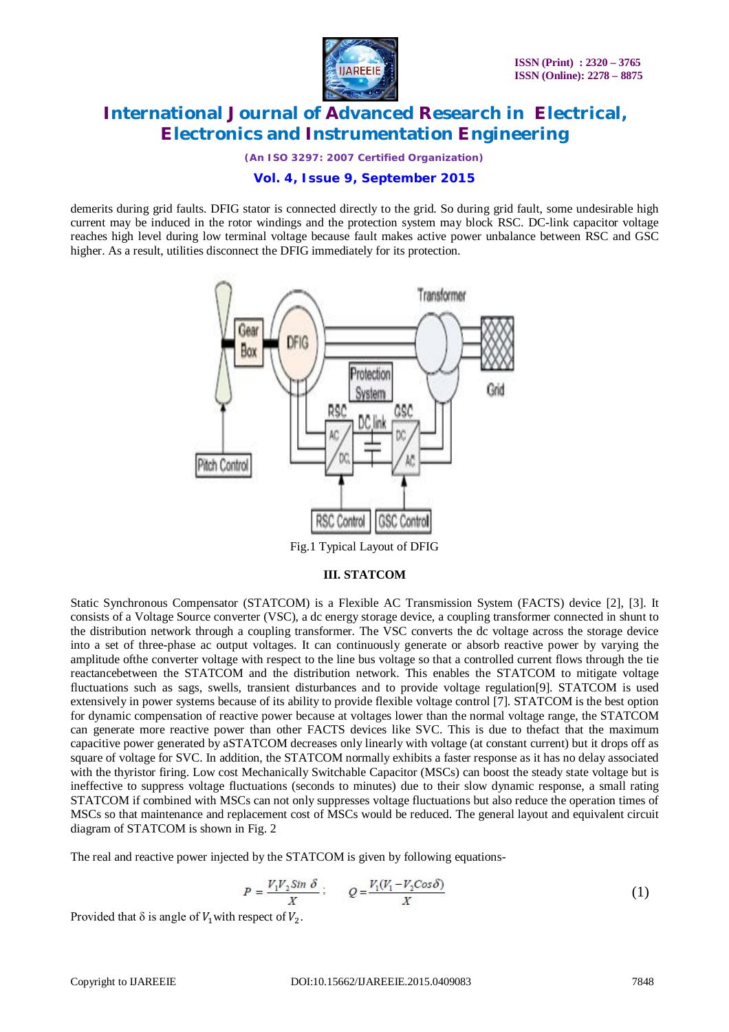

*(An ISO 3297: 2007 Certified Organization)*

### **Vol. 4, Issue 9, September 2015**

demerits during grid faults. DFIG stator is connected directly to the grid. So during grid fault, some undesirable high current may be induced in the rotor windings and the protection system may block RSC. DC-link capacitor voltage reaches high level during low terminal voltage because fault makes active power unbalance between RSC and GSC higher. As a result, utilities disconnect the DFIG immediately for its protection.



#### **III. STATCOM**

Static Synchronous Compensator (STATCOM) is a Flexible AC Transmission System (FACTS) device [2], [3]. It consists of a Voltage Source converter (VSC), a dc energy storage device, a coupling transformer connected in shunt to the distribution network through a coupling transformer. The VSC converts the dc voltage across the storage device into a set of three-phase ac output voltages. It can continuously generate or absorb reactive power by varying the amplitude ofthe converter voltage with respect to the line bus voltage so that a controlled current flows through the tie reactancebetween the STATCOM and the distribution network. This enables the STATCOM to mitigate voltage fluctuations such as sags, swells, transient disturbances and to provide voltage regulation[9]. STATCOM is used extensively in power systems because of its ability to provide flexible voltage control [7]. STATCOM is the best option for dynamic compensation of reactive power because at voltages lower than the normal voltage range, the STATCOM can generate more reactive power than other FACTS devices like SVC. This is due to thefact that the maximum capacitive power generated by aSTATCOM decreases only linearly with voltage (at constant current) but it drops off as square of voltage for SVC. In addition, the STATCOM normally exhibits a faster response as it has no delay associated with the thyristor firing. Low cost Mechanically Switchable Capacitor (MSCs) can boost the steady state voltage but is ineffective to suppress voltage fluctuations (seconds to minutes) due to their slow dynamic response, a small rating STATCOM if combined with MSCs can not only suppresses voltage fluctuations but also reduce the operation times of MSCs so that maintenance and replacement cost of MSCs would be reduced. The general layout and equivalent circuit diagram of STATCOM is shown in Fig. 2

The real and reactive power injected by the STATCOM is given by following equations-

$$
P = \frac{V_1 V_2 S in \delta}{X} ; \qquad Q = \frac{V_1 (V_1 - V_2 Cos \delta)}{X}
$$
 (1)

Provided that  $\delta$  is angle of  $V_1$  with respect of  $V_2$ .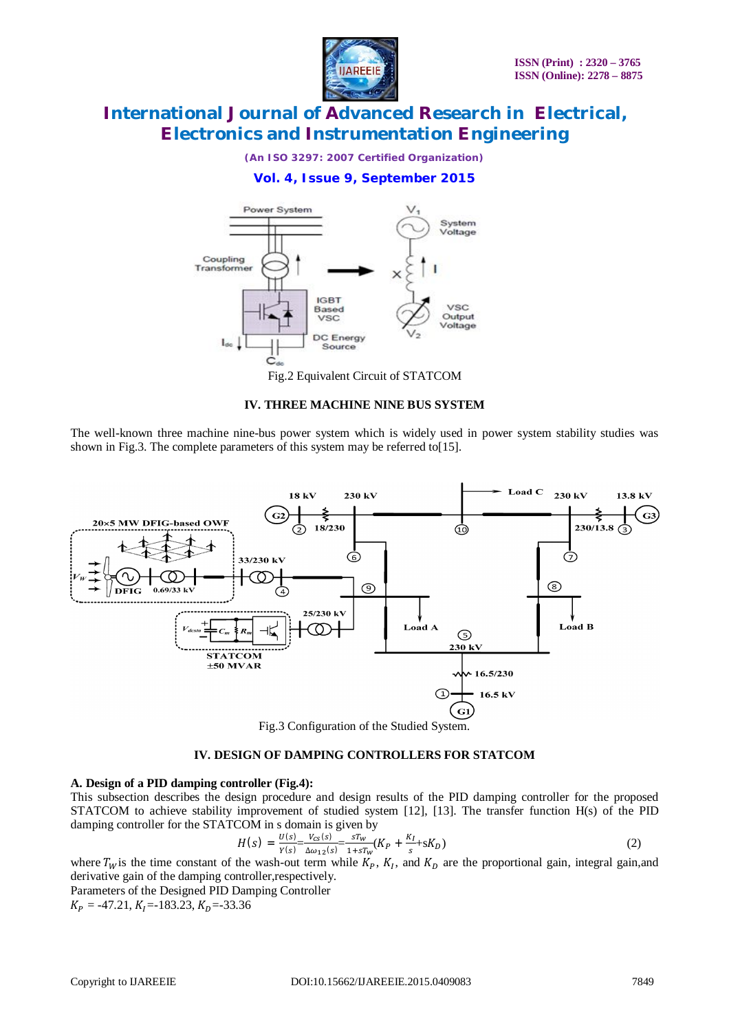

*(An ISO 3297: 2007 Certified Organization)*

### **Vol. 4, Issue 9, September 2015**



Fig.2 Equivalent Circuit of STATCOM

#### **IV. THREE MACHINE NINE BUS SYSTEM**

The well-known three machine nine-bus power system which is widely used in power system stability studies was shown in Fig.3. The complete parameters of this system may be referred to [15].



Fig.3 Configuration of the Studied System.

#### **IV. DESIGN OF DAMPING CONTROLLERS FOR STATCOM**

#### **A. Design of a PID damping controller (Fig.4):**

This subsection describes the design procedure and design results of the PID damping controller for the proposed STATCOM to achieve stability improvement of studied system [12], [13]. The transfer function H(s) of the PID damping controller for the STATCOM in s domain is given by

$$
H(s) = \frac{U(s)}{Y(s)} - \frac{V_{cs}(s)}{\Delta \omega_{12}(s)} = \frac{sT_w}{1 + sT_w}(K_P + \frac{K_I}{s} + sK_D)
$$
(2)

where  $T_W$  is the time constant of the wash-out term while  $K_P$ ,  $K_I$ , and  $K_D$  are the proportional gain, integral gain, and derivative gain of the damping controller,respectively.

Parameters of the Designed PID Damping Controller  $K_p = -47.21, K_l = -183.23, K_p = -33.36$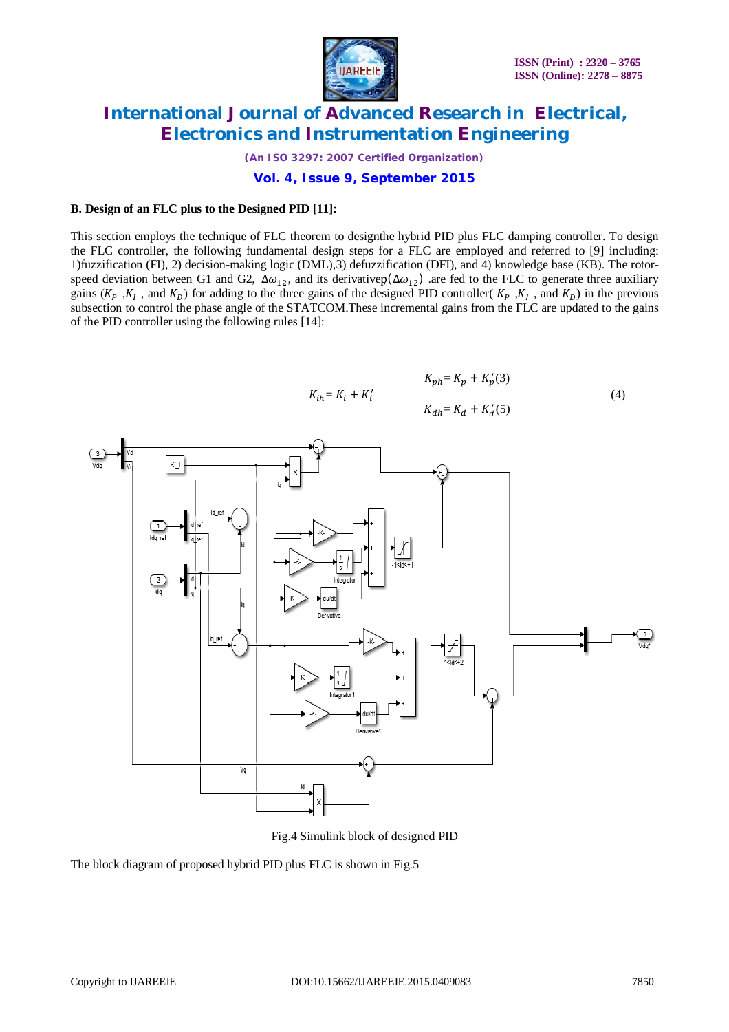

*(An ISO 3297: 2007 Certified Organization)*

**Vol. 4, Issue 9, September 2015**

#### **B. Design of an FLC plus to the Designed PID [11]:**

This section employs the technique of FLC theorem to designthe hybrid PID plus FLC damping controller. To design the FLC controller, the following fundamental design steps for a FLC are employed and referred to [9] including: 1)fuzzification (FI), 2) decision-making logic (DML),3) defuzzification (DFI), and 4) knowledge base (KB). The rotorspeed deviation between G1 and G2,  $\Delta\omega_{12}$ , and its derivativep( $\Delta\omega_{12}$ ) are fed to the FLC to generate three auxiliary gains ( $K_P$ ,  $K_I$ , and  $K_D$ ) for adding to the three gains of the designed PID controller( $K_P$ ,  $K_I$ , and  $K_D$ ) in the previous subsection to control the phase angle of the STATCOM.These incremental gains from the FLC are updated to the gains of the PID controller using the following rules [14]:





Fig.4 Simulink block of designed PID

The block diagram of proposed hybrid PID plus FLC is shown in Fig.5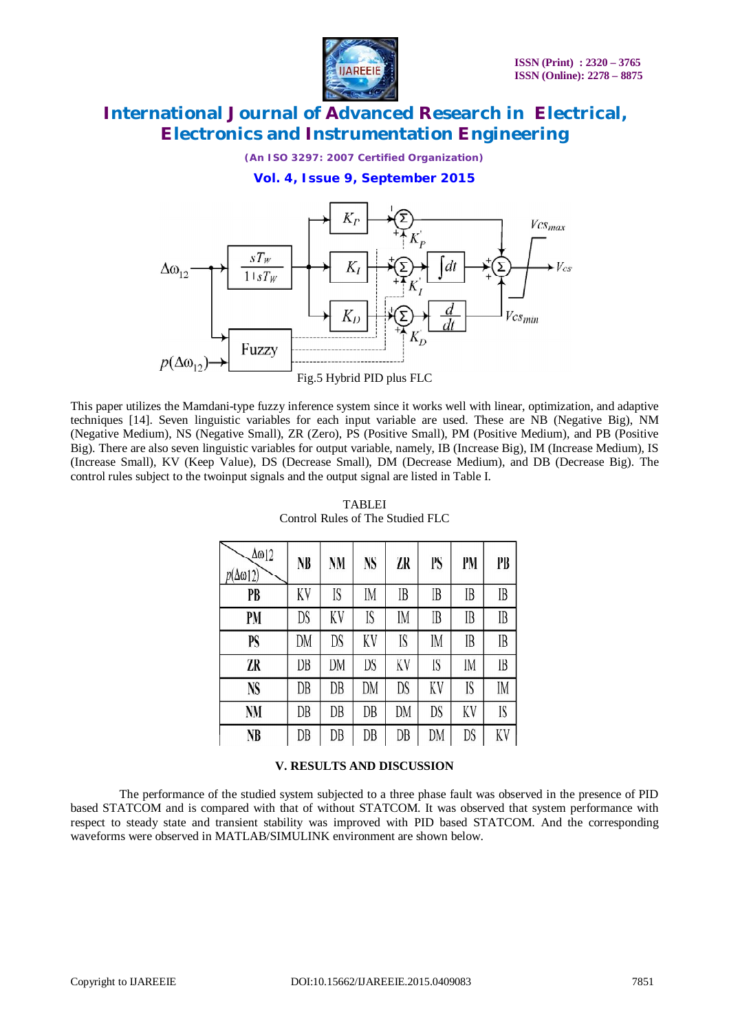

*(An ISO 3297: 2007 Certified Organization)*

#### **Vol. 4, Issue 9, September 2015**



This paper utilizes the Mamdani-type fuzzy inference system since it works well with linear, optimization, and adaptive techniques [14]. Seven linguistic variables for each input variable are used. These are NB (Negative Big), NM (Negative Medium), NS (Negative Small), ZR (Zero), PS (Positive Small), PM (Positive Medium), and PB (Positive Big). There are also seven linguistic variables for output variable, namely, IB (Increase Big), IM (Increase Medium), IS (Increase Small), KV (Keep Value), DS (Decrease Small), DM (Decrease Medium), and DB (Decrease Big). The control rules subject to the twoinput signals and the output signal are listed in Table I.

| Δω12<br>$p(\Delta \omega 12)$ | NB | NM | <b>NS</b> | ZR | PS | PM | PB |
|-------------------------------|----|----|-----------|----|----|----|----|
| PB                            | KV | IS | IM        | IB | IB | IB | IB |
| PM                            | DS | KV | IS        | IM | IB | IB | IB |
| PS                            | DM | DS | KV        | IS | IM | IB | IB |
| ZR                            | DB | DM | DS        | KV | IS | IM | IB |
| NS                            | DB | DB | DM        | DS | KV | IS | IM |
| <b>NM</b>                     | DB | DB | DB        | DM | DS | KV | IS |
| NB                            | DB | DB | DB        | DB | DM | DS | KV |

### TABLEI Control Rules of The Studied FLC

### **V. RESULTS AND DISCUSSION**

 The performance of the studied system subjected to a three phase fault was observed in the presence of PID based STATCOM and is compared with that of without STATCOM. It was observed that system performance with respect to steady state and transient stability was improved with PID based STATCOM. And the corresponding waveforms were observed in MATLAB/SIMULINK environment are shown below.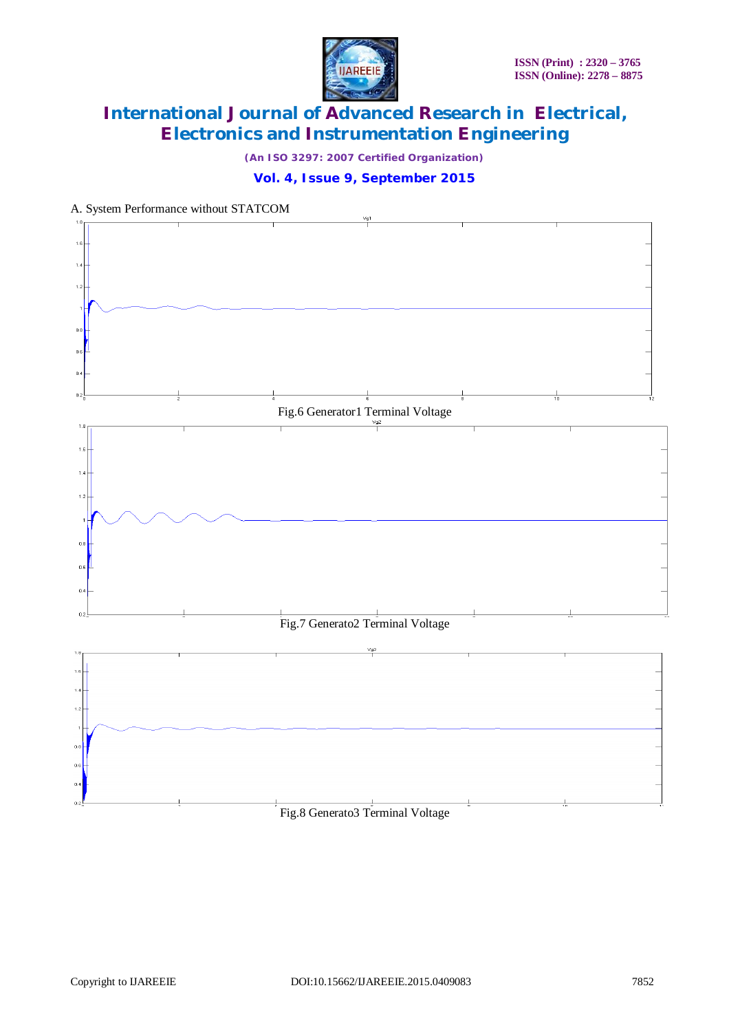

*(An ISO 3297: 2007 Certified Organization)*



### A. System Performance without STATCOM

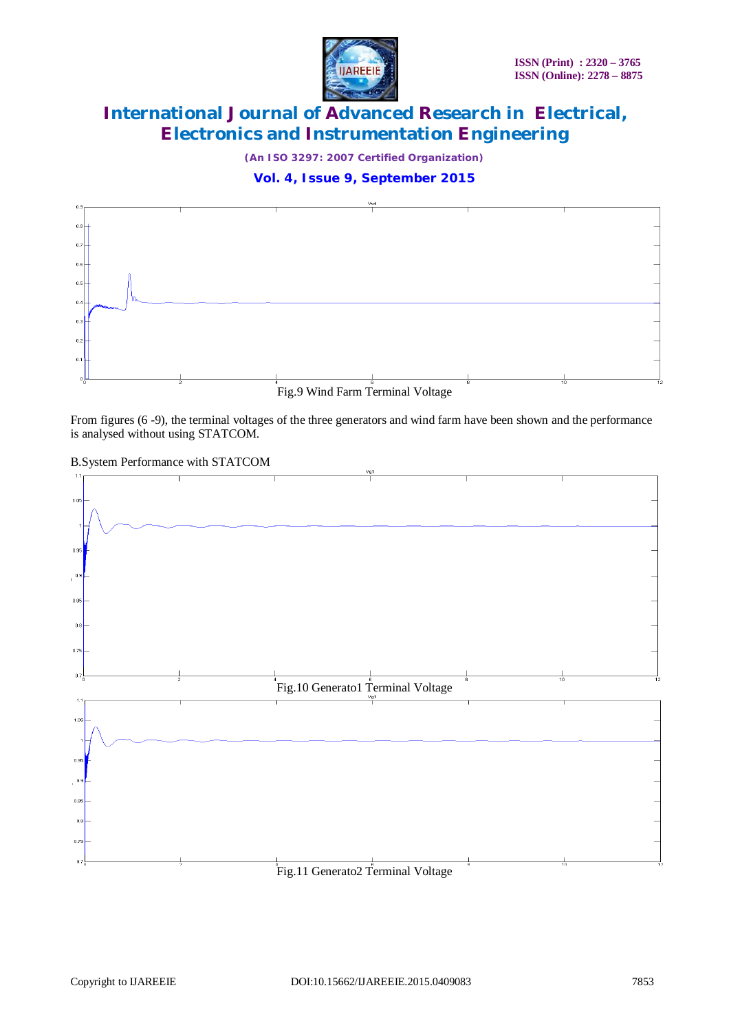

*(An ISO 3297: 2007 Certified Organization)*

### **Vol. 4, Issue 9, September 2015**



From figures (6 -9), the terminal voltages of the three generators and wind farm have been shown and the performance is analysed without using STATCOM.

#### B.System Performance with STATCOM

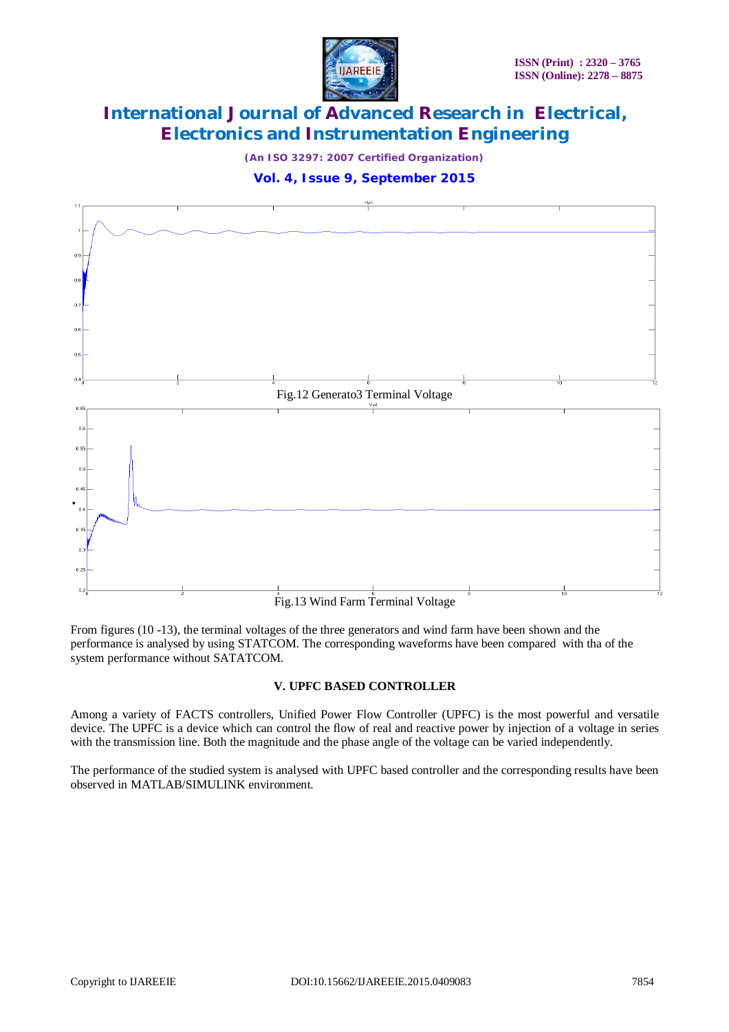

*(An ISO 3297: 2007 Certified Organization)*





From figures (10 -13), the terminal voltages of the three generators and wind farm have been shown and the performance is analysed by using STATCOM. The corresponding waveforms have been compared with tha of the system performance without SATATCOM.

### **V. UPFC BASED CONTROLLER**

Among a variety of FACTS controllers, Unified Power Flow Controller (UPFC) is the most powerful and versatile device. The UPFC is a device which can control the flow of real and reactive power by injection of a voltage in series with the transmission line. Both the magnitude and the phase angle of the voltage can be varied independently.

The performance of the studied system is analysed with UPFC based controller and the corresponding results have been observed in MATLAB/SIMULINK environment.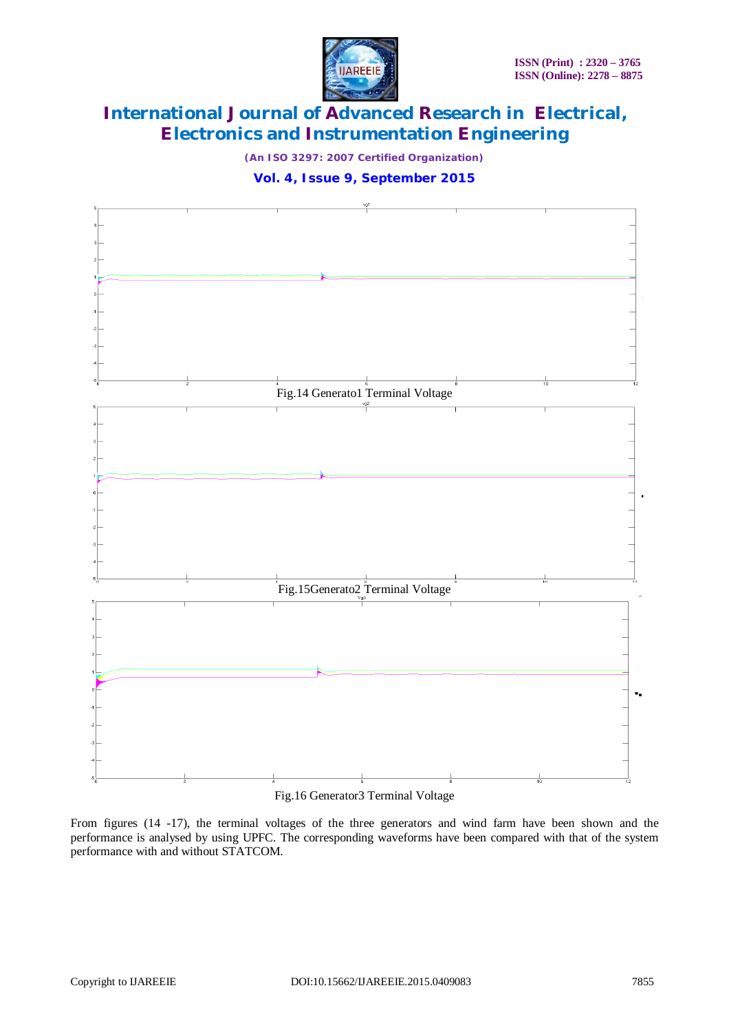

*(An ISO 3297: 2007 Certified Organization)*





#### Fig.16 Generator3 Terminal Voltage

From figures (14 -17), the terminal voltages of the three generators and wind farm have been shown and the performance is analysed by using UPFC. The corresponding waveforms have been compared with that of the system performance with and without STATCOM.